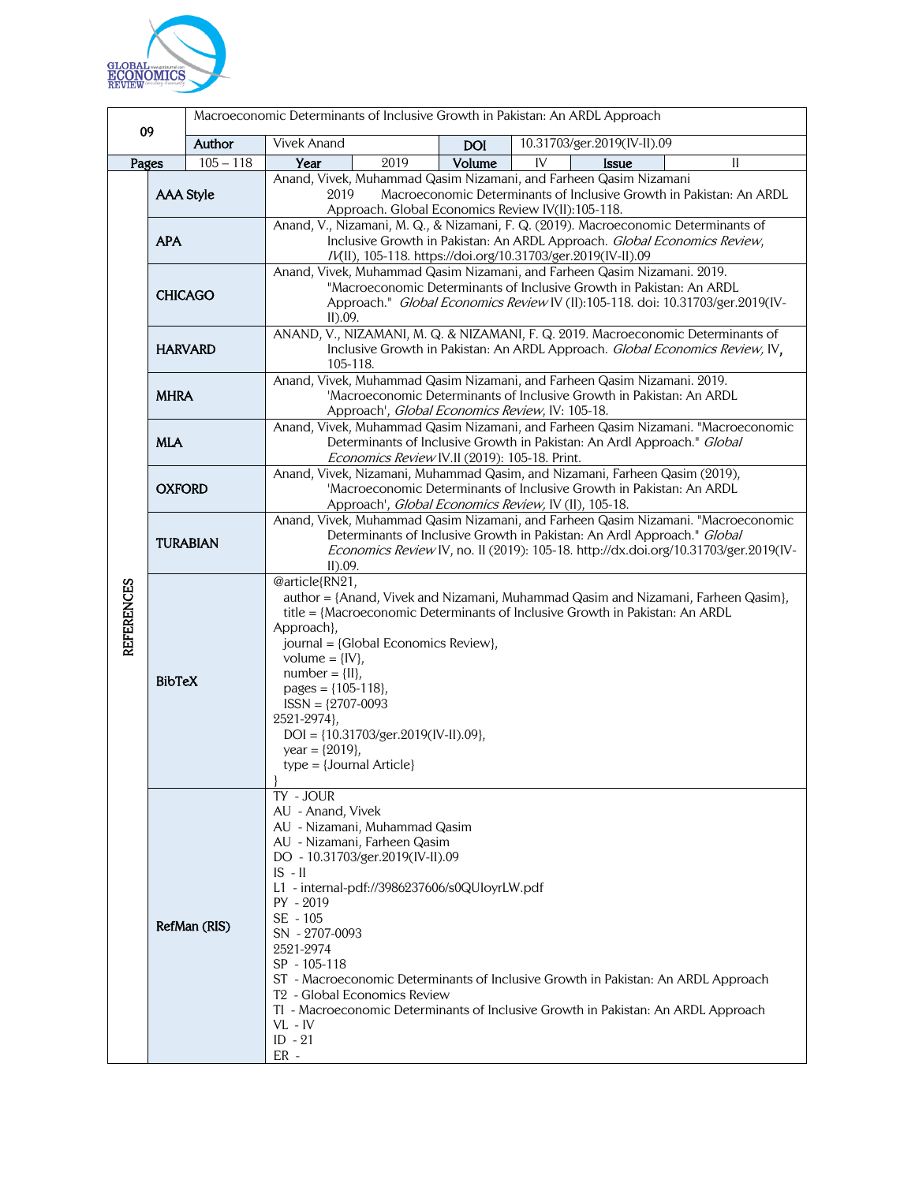

|                   |                                |             | Macroeconomic Determinants of Inclusive Growth in Pakistan: An ARDL Approach                                                                                                                                                                                                                                                                                                                                                                         |      |            |                                                                                                                                                                        |  |
|-------------------|--------------------------------|-------------|------------------------------------------------------------------------------------------------------------------------------------------------------------------------------------------------------------------------------------------------------------------------------------------------------------------------------------------------------------------------------------------------------------------------------------------------------|------|------------|------------------------------------------------------------------------------------------------------------------------------------------------------------------------|--|
| 09                |                                | Author      | Vivek Anand                                                                                                                                                                                                                                                                                                                                                                                                                                          |      | <b>DOI</b> | 10.31703/ger.2019(IV-II).09                                                                                                                                            |  |
| Pages             |                                | $105 - 118$ | Year                                                                                                                                                                                                                                                                                                                                                                                                                                                 | 2019 | Volume     | IV<br>$\mathbf{I}$<br><b>Issue</b>                                                                                                                                     |  |
|                   | <b>AAA Style</b><br><b>APA</b> |             | Anand, Vivek, Muhammad Qasim Nizamani, and Farheen Qasim Nizamani<br>Macroeconomic Determinants of Inclusive Growth in Pakistan: An ARDL<br>2019<br>Approach. Global Economics Review IV(II):105-118.<br>Anand, V., Nizamani, M. Q., & Nizamani, F. Q. (2019). Macroeconomic Determinants of                                                                                                                                                         |      |            |                                                                                                                                                                        |  |
| <b>REFERENCES</b> |                                |             | Inclusive Growth in Pakistan: An ARDL Approach. Global Economics Review,<br>/V(II), 105-118. https://doi.org/10.31703/ger.2019(IV-II).09                                                                                                                                                                                                                                                                                                             |      |            |                                                                                                                                                                        |  |
|                   | <b>CHICAGO</b>                 |             | Anand, Vivek, Muhammad Qasim Nizamani, and Farheen Qasim Nizamani. 2019.<br>"Macroeconomic Determinants of Inclusive Growth in Pakistan: An ARDL<br>Approach." Global Economics Review IV (II):105-118. doi: 10.31703/ger.2019(IV-<br>II).09.                                                                                                                                                                                                        |      |            |                                                                                                                                                                        |  |
|                   | <b>HARVARD</b>                 |             | ANAND, V., NIZAMANI, M. Q. & NIZAMANI, F. Q. 2019. Macroeconomic Determinants of<br>Inclusive Growth in Pakistan: An ARDL Approach. Global Economics Review, IV,<br>105-118.                                                                                                                                                                                                                                                                         |      |            |                                                                                                                                                                        |  |
|                   | <b>MHRA</b>                    |             | Anand, Vivek, Muhammad Qasim Nizamani, and Farheen Qasim Nizamani. 2019.<br>'Macroeconomic Determinants of Inclusive Growth in Pakistan: An ARDL<br>Approach', Global Economics Review, IV: 105-18.                                                                                                                                                                                                                                                  |      |            |                                                                                                                                                                        |  |
|                   | <b>MLA</b>                     |             | Anand, Vivek, Muhammad Qasim Nizamani, and Farheen Qasim Nizamani. "Macroeconomic<br>Determinants of Inclusive Growth in Pakistan: An Ardl Approach." Global<br>Economics Review IV.II (2019): 105-18. Print.                                                                                                                                                                                                                                        |      |            |                                                                                                                                                                        |  |
|                   | <b>OXFORD</b>                  |             | Anand, Vivek, Nizamani, Muhammad Qasim, and Nizamani, Farheen Qasim (2019),<br>'Macroeconomic Determinants of Inclusive Growth in Pakistan: An ARDL<br>Approach', Global Economics Review, IV (II), 105-18.                                                                                                                                                                                                                                          |      |            |                                                                                                                                                                        |  |
|                   | <b>TURABIAN</b>                |             | Anand, Vivek, Muhammad Qasim Nizamani, and Farheen Qasim Nizamani. "Macroeconomic<br>Determinants of Inclusive Growth in Pakistan: An Ardl Approach." Global<br>Economics Review IV, no. II (2019): 105-18. http://dx.doi.org/10.31703/ger.2019(IV-<br>II).09.                                                                                                                                                                                       |      |            |                                                                                                                                                                        |  |
|                   | <b>BibTeX</b>                  |             | @article{RN21,<br>author = {Anand, Vivek and Nizamani, Muhammad Qasim and Nizamani, Farheen Qasim},<br>title = {Macroeconomic Determinants of Inclusive Growth in Pakistan: An ARDL<br>Approach},<br>journal = {Global Economics Review},<br>volume = $\{IV\},\$<br>$number = \{II\},\$<br>pages = ${105-118}$ ,<br>$ISSN = \{2707-0093$<br>2521-2974},<br>DOI = {10.31703/ger.2019(IV-II).09},<br>year = $\{2019\}$ ,<br>$type = {Journal Article}$ |      |            |                                                                                                                                                                        |  |
|                   | RefMan (RIS)                   |             | TY - JOUR<br>AU - Anand, Vivek<br>AU - Nizamani, Muhammad Qasim<br>AU - Nizamani, Farheen Qasim<br>DO - 10.31703/ger.2019(IV-II).09<br>$IS - II$<br>L1 - internal-pdf://3986237606/s0QUloyrLW.pdf<br>$PY - 2019$<br>SE - 105<br>SN - 2707-0093<br>2521-2974<br>SP - 105-118<br>T <sub>2</sub> - Global Economics Review<br>$VL$ - $IV$<br>$ID - 21$<br>$ER -$                                                                                        |      |            | ST - Macroeconomic Determinants of Inclusive Growth in Pakistan: An ARDL Approach<br>TI - Macroeconomic Determinants of Inclusive Growth in Pakistan: An ARDL Approach |  |